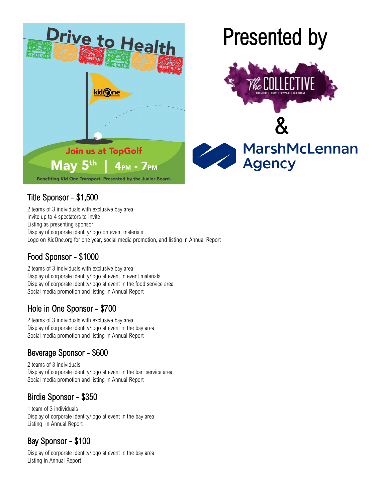

## Title Sponsor - \$1,500

2 teams of 3 individuals with exclusive bay area Invite up to 4 spectators to invite Listing as presenting sponsor Display of corporate identity/logo on event materials Logo on KidOne.org for one year, social media promotion, and listing in Annual Report

# Food Sponsor - \$1000

2 teams of 3 individuals with exclusive bay area Display of corporate identity/logo at event in event materials Display of corporate identity/logo at event in the food service area Social media promotion and listing in Annual Report

# Hole in One Sponsor - \$700

2 teams of 3 individuals with exclusive bay area Display of corporate identity/logo at event in the bay area Social media promotion and listing in Annual Report

# Beverage Sponsor - \$600

2 teams of 3 individuals Display of corporate identity/logo at event in the bar service area Social media promotion and listing in Annual Report

### Birdie Sponsor - \$350

1 team of 3 individuals Display of corporate identity/logo at event in the bay area Listing in Annual Report

# Bay Sponsor - \$100

Display of corporate identity/logo at event in the bay area Listing in Annual Report